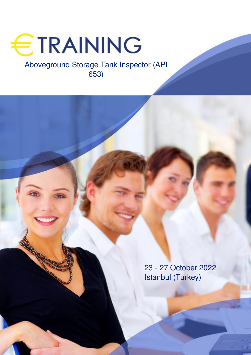

# Aboveground Storage Tank Inspector (API 653)

23 - 27 October 2022 Istanbul (Turkey)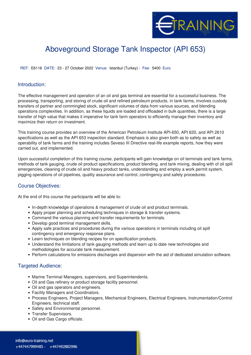

# Aboveground Storage Tank Inspector (API 653)

**REF:** E6116 **DATE:** 23 - 27 October 2022 **Venue:** Istanbul (Turkey) - **Fee:** 5400 **Euro**

#### **Introduction:**

The effective management and operation of an oil and gas terminal are essential for a successful business. The processing, transporting, and storing of crude oil and refined petroleum products, in tank farms, involves custody transfers of partner and commingled stock, significant volumes of data from various sources, and blending operations complexities. In addition, as these liquids are loaded and offloaded in bulk quantities, there is a large transfer of high value that makes it imperative for tank farm operators to efficiently manage their inventory and maximize their return on investment.

This training course provides an overview of the American Petroleum Institute API-650, API 620, and API 2610 specifications as well as the API 653 inspection standard. Emphasis is also given both as to safety as well as operability of tank farms and the training includes Seveso III Directive real-life example reports, how they were carried out, and implemented.

Upon successful completion of this training course, participants will gain knowledge on oil terminals and tank farms, methods of tank gauging, crude oil product specifications, product blending, and tank mixing, dealing with of oil spill emergencies, cleaning of crude oil and heavy product tanks, understanding and employ a work permit system, pigging operations of oil pipelines, quality assurance and control, contingency and safety procedures.

### **Course Objectives:**

At the end of this course the participants will be able to:

- In-depth knowledge of operations & management of crude oil and product terminals.
- Apply proper planning and scheduling techniques in storage & transfer systems.
- Command the various planning and transfer requirements for terminals.
- Develop good terminal management skills.
- Apply safe practices and procedures during the various operations in terminals including oil spill contingency and emergency response plans.
- Learn techniques on blending recipes for on specification products.
- Understand the limitations of tank gauging methods and learn up to date new technologies and methodologies for accurate tank measurement.
- Perform calculations for emissions discharges and dispersion with the aid of dedicated simulation software.

### **Targeted Audience:**

- Marine Terminal Managers, supervisors, and Superintendents.
- Oil and Gas refinery or product storage facility personnel.
- Oil and gas operators and engineers.
- Facility Managers and Coordinators.
- Process Engineers, Project Managers, Mechanical Engineers, Electrical Engineers, Instrumentation/Control Engineers, technical staff.
- Safety and Environmental personnel.
- Transfer Supervisors.
- Oil and Gas Cargo officials.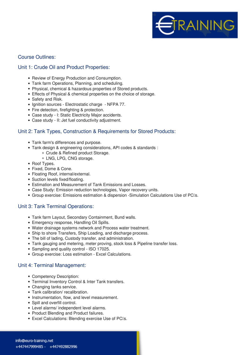

### **Course Outlines:**

## **Unit 1: Crude Oil and Product Properties:**

- Review of Energy Production and Consumption.
- Tank farm Operations, Planning, and scheduling.
- Physical, chemical & hazardous properties of Stored products.
- Effects of Physical & chemical properties on the choice of storage.
- Safety and Risk.
- Ignition sources Electrostatic charge NFPA 77.
- Fire detection, firefighting & protection.
- Case study I: Static Electricity Major accidents.
- Case study II: Jet fuel conductivity adjustment.

## **Unit 2: Tank Types, Construction & Requirements for Stored Products:**

- Tank farm's differences and purpose.
- Tank design & engineering considerations, API codes & standards :
	- Crude & Refined product Storage.
	- LNG, LPG, CNG storage.
- Roof Types.
- Fixed, Dome & Cone.
- Floating Roof, internal/external.
- Suction levels fixed/floating.
- Estimation and Measurement of Tank Emissions and Losses.
- Case Study: Emission reduction technologies, Vapor recovery units.
- Group exercise: Emissions estimation & dispersion -Simulation Calculations Use of PC's.

## **Unit 3: Tank Terminal Operations:**

- Tank farm Layout, Secondary Containment, Bund walls.
- Emergency response, Handling Oil Spills.
- Water drainage systems network and Process water treatment.
- Ship to shore Transfers, Ship Loading, and discharge process.
- The bill of lading, Custody transfer, and administration.
- Tank gauging and metering, meter proving, stock loss & Pipeline transfer loss.
- Sampling and quality control ISO 17025.
- Group exercise: Loss estimation Excel Calculations.

### **Unit 4: Terminal Management:**

- Competency Description:
- Terminal Inventory Control & Inter Tank transfers.
- Changing tanks service.
- Tank calibration/ recalibration.
- Instrumentation, flow, and level measurement.
- Spill and overfill control.
- Level alarms/ independent level alarms.
- Product Blending and Product failures.
- Excel Calculations: Blending exercise Use of PCIs.